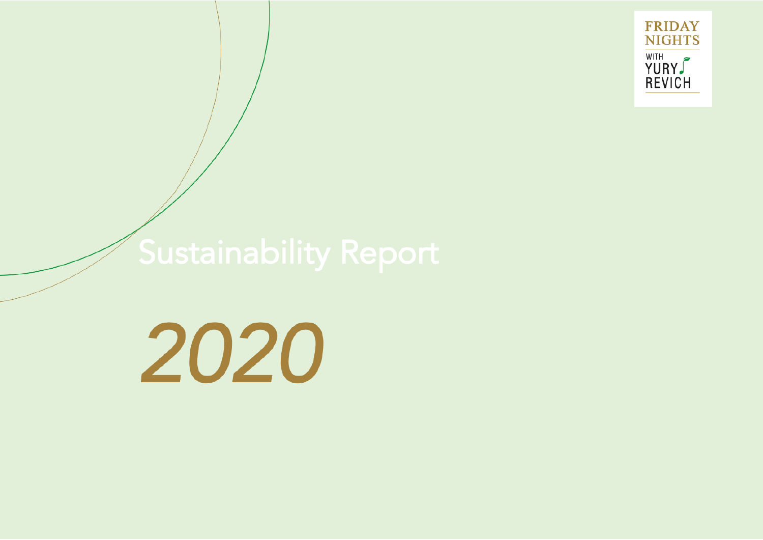

# Sustainability Report

2020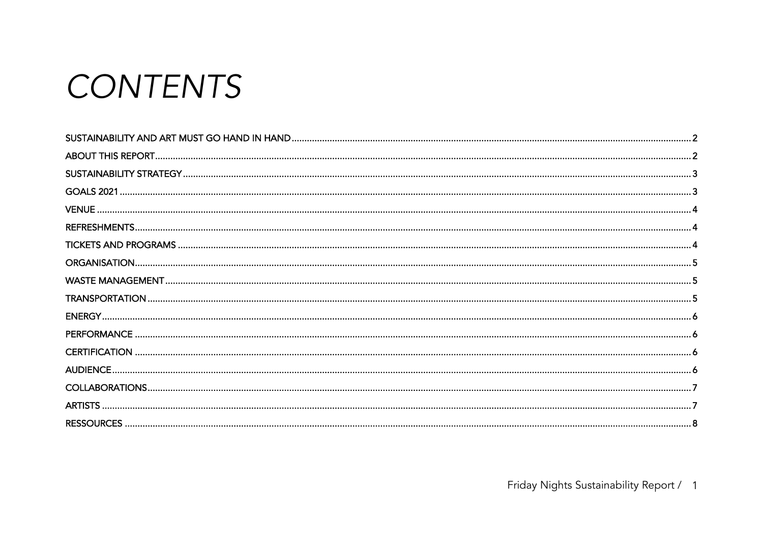# CONTENTS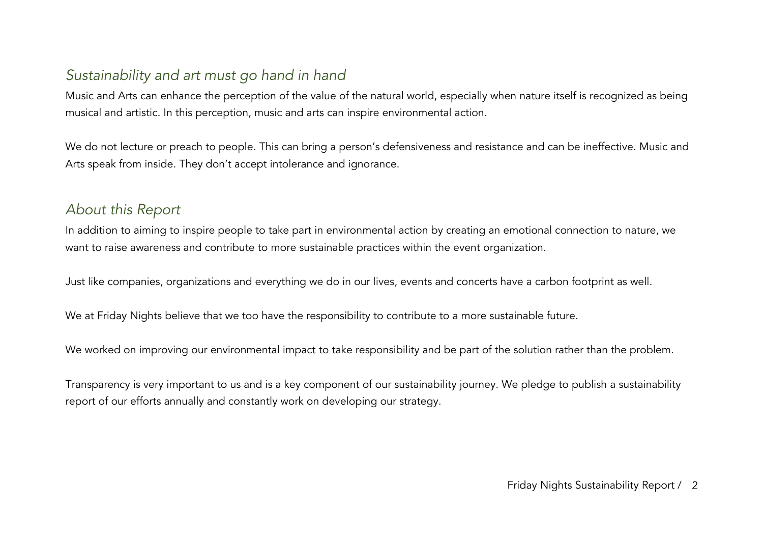# *Sustainability and art must go hand in hand*

Music and Arts can enhance the perception of the value of the natural world, especially when nature itself is recognized as being musical and artistic. In this perception, music and arts can inspire environmental action.

We do not lecture or preach to people. This can bring a person's defensiveness and resistance and can be ineffective. Music and Arts speak from inside. They don't accept intolerance and ignorance.

#### *About this Report*

In addition to aiming to inspire people to take part in environmental action by creating an emotional connection to nature, we want to raise awareness and contribute to more sustainable practices within the event organization.

Just like companies, organizations and everything we do in our lives, events and concerts have a carbon footprint as well.

We at Friday Nights believe that we too have the responsibility to contribute to a more sustainable future.

We worked on improving our environmental impact to take responsibility and be part of the solution rather than the problem.

Transparency is very important to us and is a key component of our sustainability journey. We pledge to publish a sustainability report of our efforts annually and constantly work on developing our strategy.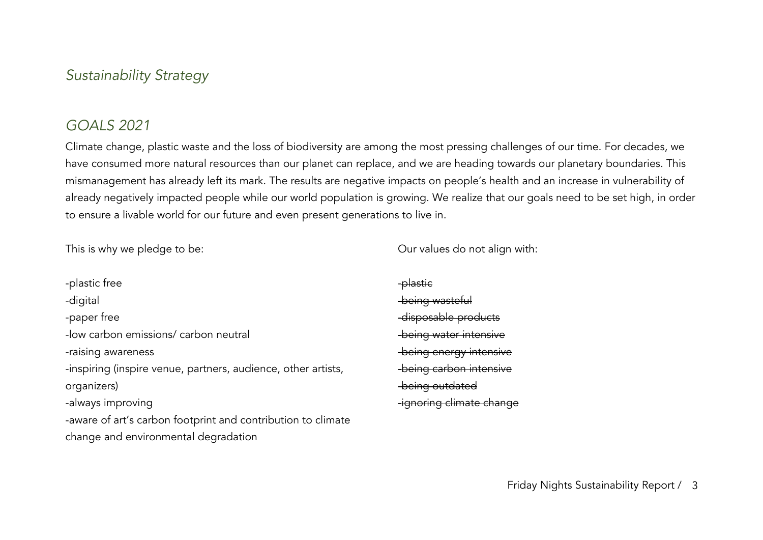#### *Sustainability Strategy*

#### *GOALS 2021*

Climate change, plastic waste and the loss of biodiversity are among the most pressing challenges of our time. For decades, we have consumed more natural resources than our planet can replace, and we are heading towards our planetary boundaries. This mismanagement has already left its mark. The results are negative impacts on people's health and an increase in vulnerability of already negatively impacted people while our world population is growing. We realize that our goals need to be set high, in order to ensure a livable world for our future and even present generations to live in.

This is why we pledge to be:

Our values do not align with:

-plastic free -digital -paper free -low carbon emissions/ carbon neutral -raising awareness -inspiring (inspire venue, partners, audience, other artists, organizers) -always improving -aware of art's carbon footprint and contribution to climate change and environmental degradation

-plastic -being wasteful -disposable products -being water intensive -being energy intensive -being carbon intensive -being outdated -ignoring climate change

Friday Nights Sustainability Report / 3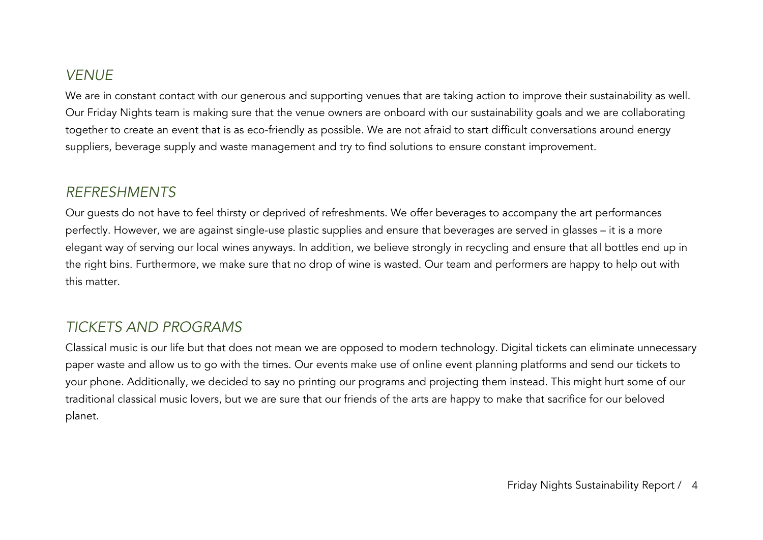# *VENUE*

We are in constant contact with our generous and supporting venues that are taking action to improve their sustainability as well. Our Friday Nights team is making sure that the venue owners are onboard with our sustainability goals and we are collaborating together to create an event that is as eco-friendly as possible. We are not afraid to start difficult conversations around energy suppliers, beverage supply and waste management and try to find solutions to ensure constant improvement.

#### *REFRESHMENTS*

Our guests do not have to feel thirsty or deprived of refreshments. We offer beverages to accompany the art performances perfectly. However, we are against single-use plastic supplies and ensure that beverages are served in glasses – it is a more elegant way of serving our local wines anyways. In addition, we believe strongly in recycling and ensure that all bottles end up in the right bins. Furthermore, we make sure that no drop of wine is wasted. Our team and performers are happy to help out with this matter.

#### *TICKETS AND PROGRAMS*

Classical music is our life but that does not mean we are opposed to modern technology. Digital tickets can eliminate unnecessary paper waste and allow us to go with the times. Our events make use of online event planning platforms and send our tickets to your phone. Additionally, we decided to say no printing our programs and projecting them instead. This might hurt some of our traditional classical music lovers, but we are sure that our friends of the arts are happy to make that sacrifice for our beloved planet.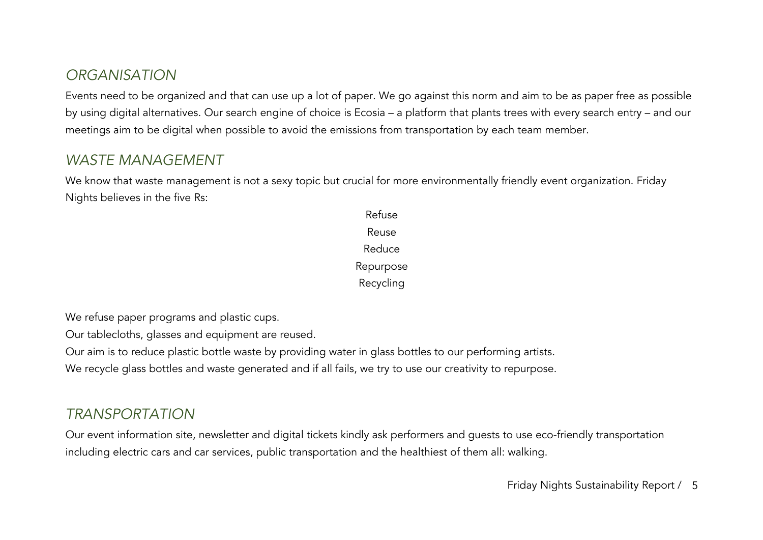# *ORGANISATION*

Events need to be organized and that can use up a lot of paper. We go against this norm and aim to be as paper free as possible by using digital alternatives. Our search engine of choice is Ecosia – a platform that plants trees with every search entry – and our meetings aim to be digital when possible to avoid the emissions from transportation by each team member.

#### *WASTE MANAGEMENT*

We know that waste management is not a sexy topic but crucial for more environmentally friendly event organization. Friday Nights believes in the five Rs:

> Refuse Reuse Reduce Repurpose Recycling

We refuse paper programs and plastic cups.

Our tablecloths, glasses and equipment are reused.

Our aim is to reduce plastic bottle waste by providing water in glass bottles to our performing artists.

We recycle glass bottles and waste generated and if all fails, we try to use our creativity to repurpose.

# *TRANSPORTATION*

Our event information site, newsletter and digital tickets kindly ask performers and guests to use eco-friendly transportation including electric cars and car services, public transportation and the healthiest of them all: walking.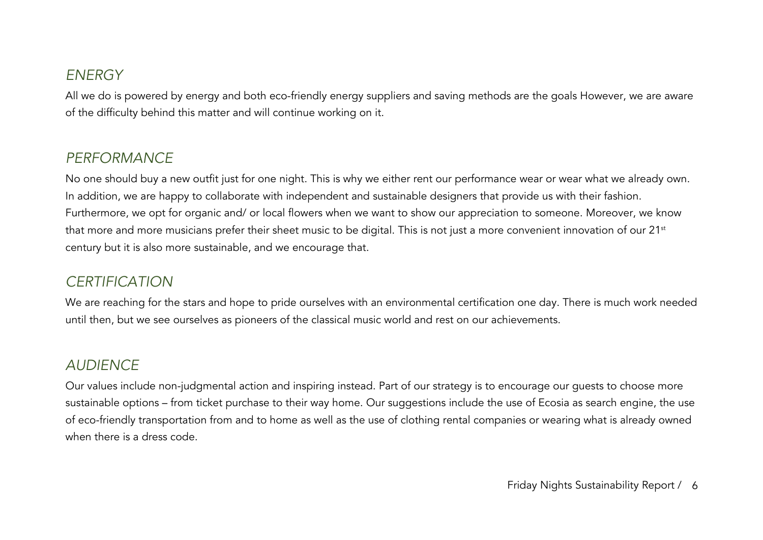#### *ENERGY*

All we do is powered by energy and both eco-friendly energy suppliers and saving methods are the goals However, we are aware of the difficulty behind this matter and will continue working on it.

### *PERFORMANCE*

No one should buy a new outfit just for one night. This is why we either rent our performance wear or wear what we already own. In addition, we are happy to collaborate with independent and sustainable designers that provide us with their fashion. Furthermore, we opt for organic and/ or local flowers when we want to show our appreciation to someone. Moreover, we know that more and more musicians prefer their sheet music to be digital. This is not just a more convenient innovation of our 21<sup>st</sup> century but it is also more sustainable, and we encourage that.

# *CERTIFICATION*

We are reaching for the stars and hope to pride ourselves with an environmental certification one day. There is much work needed until then, but we see ourselves as pioneers of the classical music world and rest on our achievements.

#### *AUDIENCE*

Our values include non-judgmental action and inspiring instead. Part of our strategy is to encourage our guests to choose more sustainable options – from ticket purchase to their way home. Our suggestions include the use of Ecosia as search engine, the use of eco-friendly transportation from and to home as well as the use of clothing rental companies or wearing what is already owned when there is a dress code.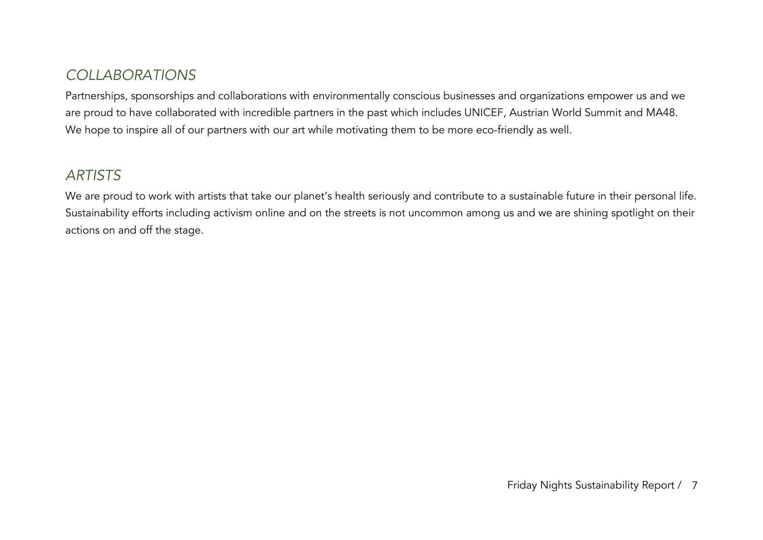# *COLLABORATIONS*

Partnerships, sponsorships and collaborations with environmentally conscious businesses and organizations empower us and we are proud to have collaborated with incredible partners in the past which includes UNICEF, Austrian World Summit and MA48. We hope to inspire all of our partners with our art while motivating them to be more eco-friendly as well.

### *ARTISTS*

We are proud to work with artists that take our planet's health seriously and contribute to a sustainable future in their personal life. Sustainability efforts including activism online and on the streets is not uncommon among us and we are shining spotlight on their actions on and off the stage.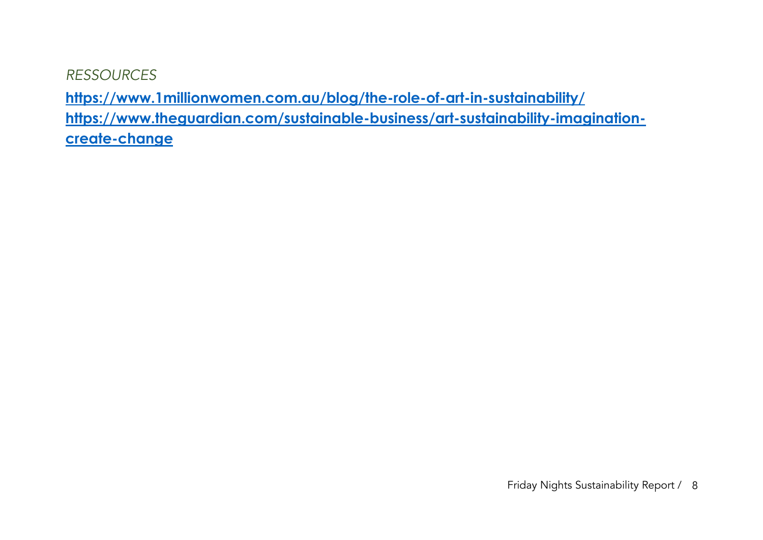*RESSOURCES*

**https://www.1millionwomen.com.au/blog/the-role-of-art-in-sustainability/ https://www.theguardian.com/sustainable-business/art-sustainability-imaginationcreate-change**